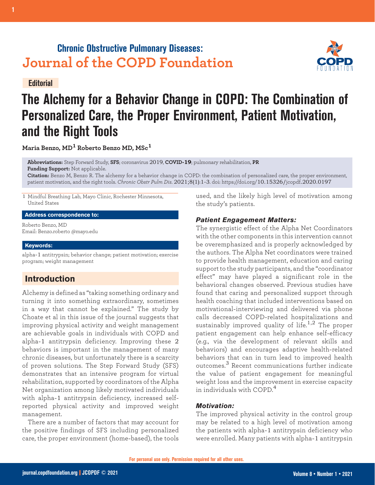## **Chronic Obstructive Pulmonary Diseases: Journal of the COPD Foundation**

**Editorial**

# **The Alchemy for a Behavior Change in COPD: The Combination of Personalized Care, the Proper Environment, Patient Motivation, and the Right Tools**

**Maria Benzo, MD1 Roberto Benzo MD, MSc<sup>1</sup>**

**Abbreviations:** Step Forward Study, **SFS**; coronavirus 2019, **COVID-19**; pulmonary rehabilitation, **PR Funding Support:** Not applicable.

**Citation:** Benzo M, Benzo R. The alchemy for a behavior change in COPD: the combination of personalized care, the proper environment, patient motivation, and the right tools. *Chronic Obstr Pulm Dis*. 2021;8(1):1-3. doi: https://doi.org/10.15326/jcopdf.2020.0197

1 Mindful Breathing Lab, Mayo Clinic, Rochester Minnesota, United States

**Address correspondence to:**

Roberto Benzo, MD Email: Benzo.roberto @mayo.edu

#### **Keywords:**

alpha-1 antitrypsin; behavior change; patient motivation; exercise program; weight management

### **Introduction**

Alchemy is defined as "taking something ordinary and turning it into something extraordinary, sometimes in a way that cannot be explained." The study by Choate et al in this issue of the journal suggests that improving physical activity and weight management are achievable goals in individuals with COPD and alpha-1 antitrypsin deficiency. Improving these 2 behaviors is important in the management of many chronic diseases, but unfortunately there is a scarcity of proven solutions. The Step Forward Study (SFS) demonstrates that an intensive program for virtual rehabilitation, supported by coordinators of the Alpha Net organization among likely motivated individuals with alpha-1 antitrypsin deficiency, increased selfreported physical activity and improved weight management.

There are a number of factors that may account for the positive findings of SFS including personalized care, the proper environment (home-based), the tools

used, and the likely high level of motivation among the study's patients.

#### *Patient Engagement Matters:*

The synergistic effect of the Alpha Net Coordinators with the other components in this intervention cannot be overemphasized and is properly acknowledged by the authors. The Alpha Net coordinators were trained to provide health management, education and caring support to the study participants, and the "coordinator effect" may have played a significant role in the behavioral changes observed. Previous studies have found that caring and personalized support through health coaching that included interventions based on motivational-interviewing and delivered via phone calls decreased COPD-related hospitalizations and sustainably improved quality of life.<sup>1,2</sup> The proper patient engagement can help enhance self-efficacy (e.g., via the development of relevant skills and behaviors) and encourages adaptive health-related behaviors that can in turn lead to improved health outcomes.3 Recent communications further indicate the value of patient engagement for meaningful weight loss and the improvement in exercise capacity in individuals with  $COPD<sup>4</sup>$ 

#### *Motivation:*

The improved physical activity in the control group may be related to a high level of motivation among the patients with alpha-1 antitrypsin deficiency who were enrolled. Many patients with alpha-1 antitrypsin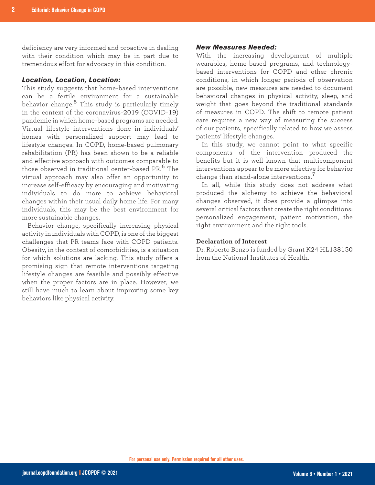deficiency are very informed and proactive in dealing with their condition which may be in part due to tremendous effort for advocacy in this condition.

#### *Location, Location, Location:*

This study suggests that home-based interventions can be a fertile environment for a sustainable behavior change.5 This study is particularly timely in the context of the coronavirus-2019 (COVID-19) pandemic in which home-based programs are needed. Virtual lifestyle interventions done in individuals' homes with personalized support may lead to lifestyle changes. In COPD, home-based pulmonary rehabilitation (PR) has been shown to be a reliable and effective approach with outcomes comparable to those observed in traditional center-based PR.<sup>6</sup> The virtual approach may also offer an opportunity to increase self-efficacy by encouraging and motivating individuals to do more to achieve behavioral changes within their usual daily home life. For many individuals, this may be the best environment for more sustainable changes.

Behavior change, specifically increasing physical activity in individuals with COPD, is one of the biggest challenges that PR teams face with COPD patients. Obesity, in the context of comorbidities, is a situation for which solutions are lacking. This study offers a promising sign that remote interventions targeting lifestyle changes are feasible and possibly effective when the proper factors are in place. However, we still have much to learn about improving some key behaviors like physical activity.

#### *New Measures Needed:*

With the increasing development of multiple wearables, home-based programs, and technologybased interventions for COPD and other chronic conditions, in which longer periods of observation are possible, new measures are needed to document behavioral changes in physical activity, sleep, and weight that goes beyond the traditional standards of measures in COPD. The shift to remote patient care requires a new way of measuring the success of our patients, specifically related to how we assess patients' lifestyle changes.

In this study, we cannot point to what specific components of the intervention produced the benefits but it is well known that multicomponent interventions appear to be more effective for behavior change than stand-alone interventions.<sup>7</sup>

In all, while this study does not address what produced the alchemy to achieve the behavioral changes observed, it does provide a glimpse into several critical factors that create the right conditions: personalized engagement, patient motivation, the right environment and the right tools.

#### **Declaration of Interest**

Dr. Roberto Benzo is funded by Grant K24 HL138150 from the National Institutes of Health.